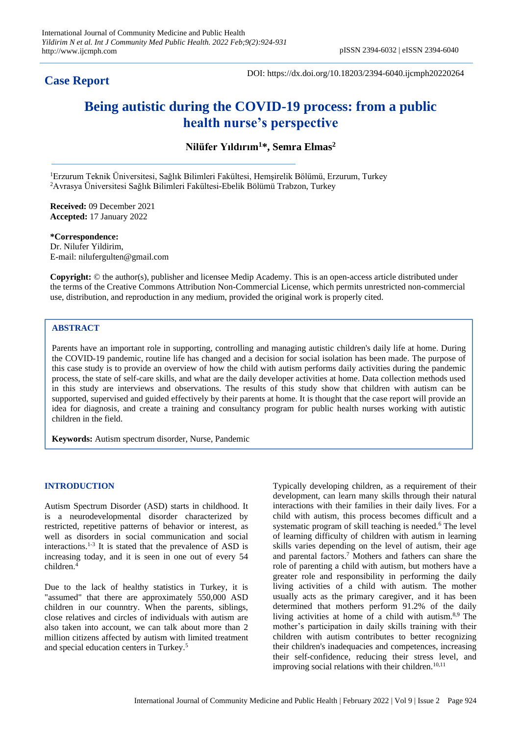## **Case Report**

DOI: https://dx.doi.org/10.18203/2394-6040.ijcmph20220264

# **Being autistic during the COVID-19 process: from a public health nurse's perspective**

**Nilüfer Yıldırım<sup>1</sup>\*, Semra Elmas<sup>2</sup>**

<sup>1</sup>Erzurum Teknik Üniversitesi, Sağlık Bilimleri Fakültesi, Hemşirelik Bölümü, Erzurum, Turkey <sup>2</sup>Avrasya Üniversitesi Sağlık Bilimleri Fakültesi-Ebelik Bölümü Trabzon, Turkey

**Received:** 09 December 2021 **Accepted:** 17 January 2022

**\*Correspondence:** Dr. Nilufer Yildirim, E-mail: nilufergulten@gmail.com

**Copyright:** © the author(s), publisher and licensee Medip Academy. This is an open-access article distributed under the terms of the Creative Commons Attribution Non-Commercial License, which permits unrestricted non-commercial use, distribution, and reproduction in any medium, provided the original work is properly cited.

## **ABSTRACT**

Parents have an important role in supporting, controlling and managing autistic children's daily life at home. During the COVID-19 pandemic, routine life has changed and a decision for social isolation has been made. The purpose of this case study is to provide an overview of how the child with autism performs daily activities during the pandemic process, the state of self-care skills, and what are the daily developer activities at home. Data collection methods used in this study are interviews and observations. The results of this study show that children with autism can be supported, supervised and guided effectively by their parents at home. It is thought that the case report will provide an idea for diagnosis, and create a training and consultancy program for public health nurses working with autistic children in the field.

**Keywords:** Autism spectrum disorder, Nurse, Pandemic

## **INTRODUCTION**

Autism Spectrum Disorder (ASD) starts in childhood. It is a neurodevelopmental disorder characterized by restricted, repetitive patterns of behavior or interest, as well as disorders in social communication and social interactions.<sup>1-3</sup> It is stated that the prevalence of ASD is increasing today, and it is seen in one out of every 54 children.<sup>4</sup>

Due to the lack of healthy statistics in Turkey, it is "assumed" that there are approximately 550,000 ASD children in our counntry. When the parents, siblings, close relatives and circles of individuals with autism are also taken into account, we can talk about more than 2 million citizens affected by autism with limited treatment and special education centers in Turkey.<sup>5</sup>

Typically developing children, as a requirement of their development, can learn many skills through their natural interactions with their families in their daily lives. For a child with autism, this process becomes difficult and a systematic program of skill teaching is needed.<sup>6</sup> The level of learning difficulty of children with autism in learning skills varies depending on the level of autism, their age and parental factors.<sup>7</sup> Mothers and fathers can share the role of parenting a child with autism, but mothers have a greater role and responsibility in performing the daily living activities of a child with autism. The mother usually acts as the primary caregiver, and it has been determined that mothers perform 91.2% of the daily living activities at home of a child with autism.8,9 The mother's participation in daily skills training with their children with autism contributes to better recognizing their children's inadequacies and competences, increasing their self-confidence, reducing their stress level, and improving social relations with their children.<sup>10,11</sup>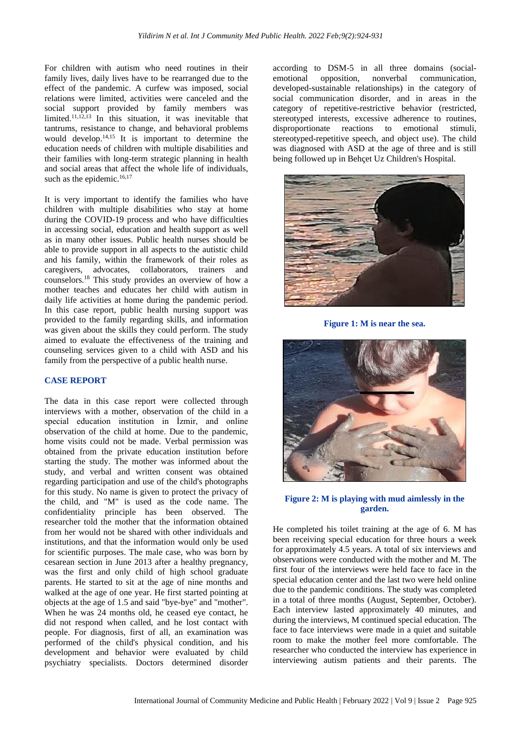For children with autism who need routines in their family lives, daily lives have to be rearranged due to the effect of the pandemic. A curfew was imposed, social relations were limited, activities were canceled and the social support provided by family members was limited.11,12,13 In this situation, it was inevitable that tantrums, resistance to change, and behavioral problems would develop. $14,15$  It is important to determine the education needs of children with multiple disabilities and their families with long-term strategic planning in health and social areas that affect the whole life of individuals, such as the epidemic.<sup>16,17</sup>

It is very important to identify the families who have children with multiple disabilities who stay at home during the COVID-19 process and who have difficulties in accessing social, education and health support as well as in many other issues. Public health nurses should be able to provide support in all aspects to the autistic child and his family, within the framework of their roles as caregivers, advocates, collaborators, trainers and counselors.<sup>18</sup> This study provides an overview of how a mother teaches and educates her child with autism in daily life activities at home during the pandemic period. In this case report, public health nursing support was provided to the family regarding skills, and information was given about the skills they could perform. The study aimed to evaluate the effectiveness of the training and counseling services given to a child with ASD and his family from the perspective of a public health nurse.

## **CASE REPORT**

The data in this case report were collected through interviews with a mother, observation of the child in a special education institution in İzmir, and online observation of the child at home. Due to the pandemic, home visits could not be made. Verbal permission was obtained from the private education institution before starting the study. The mother was informed about the study, and verbal and written consent was obtained regarding participation and use of the child's photographs for this study. No name is given to protect the privacy of the child, and "M" is used as the code name. The confidentiality principle has been observed. The researcher told the mother that the information obtained from her would not be shared with other individuals and institutions, and that the information would only be used for scientific purposes. The male case, who was born by cesarean section in June 2013 after a healthy pregnancy, was the first and only child of high school graduate parents. He started to sit at the age of nine months and walked at the age of one year. He first started pointing at objects at the age of 1.5 and said "bye-bye" and "mother". When he was 24 months old, he ceased eye contact, he did not respond when called, and he lost contact with people. For diagnosis, first of all, an examination was performed of the child's physical condition, and his development and behavior were evaluated by child psychiatry specialists. Doctors determined disorder

according to DSM-5 in all three domains (socialemotional opposition, nonverbal communication, developed-sustainable relationships) in the category of social communication disorder, and in areas in the category of repetitive-restrictive behavior (restricted, stereotyped interests, excessive adherence to routines, disproportionate reactions to emotional stimuli, stereotyped-repetitive speech, and object use). The child was diagnosed with ASD at the age of three and is still being followed up in Behçet Uz Children's Hospital.



**Figure 1: M is near the sea.**



**Figure 2: M is playing with mud aimlessly in the garden.**

He completed his toilet training at the age of 6. M has been receiving special education for three hours a week for approximately 4.5 years. A total of six interviews and observations were conducted with the mother and M. The first four of the interviews were held face to face in the special education center and the last two were held online due to the pandemic conditions. The study was completed in a total of three months (August, September, October). Each interview lasted approximately 40 minutes, and during the interviews, M continued special education. The face to face interviews were made in a quiet and suitable room to make the mother feel more comfortable. The researcher who conducted the interview has experience in interviewing autism patients and their parents. The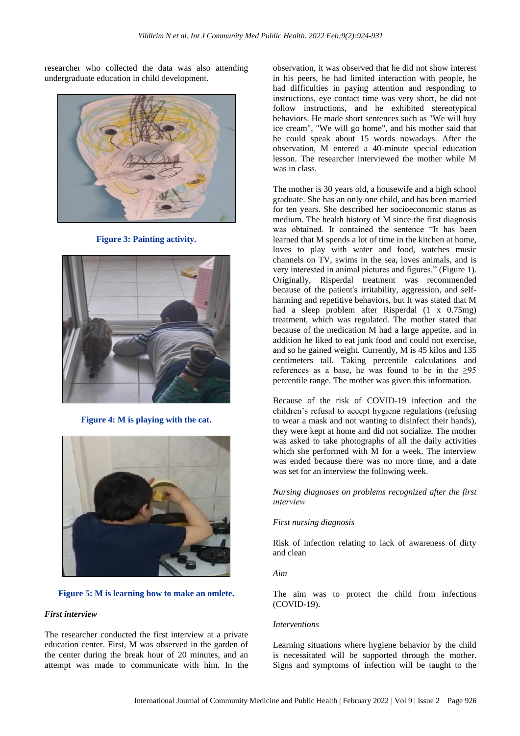researcher who collected the data was also attending undergraduate education in child development.



**Figure 3: Painting activity.**



**Figure 4: M is playing with the cat.**





## *First interview*

The researcher conducted the first interview at a private education center. First, M was observed in the garden of the center during the break hour of 20 minutes, and an attempt was made to communicate with him. In the

observation, it was observed that he did not show interest in his peers, he had limited interaction with people, he had difficulties in paying attention and responding to instructions, eye contact time was very short, he did not follow instructions, and he exhibited stereotypical behaviors. He made short sentences such as "We will buy ice cream", "We will go home", and his mother said that he could speak about 15 words nowadays. After the observation, M entered a 40-minute special education lesson. The researcher interviewed the mother while M was in class.

The mother is 30 years old, a housewife and a high school graduate. She has an only one child, and has been married for ten years. She described her socioeconomic status as medium. The health history of M since the first diagnosis was obtained. It contained the sentence "It has been learned that M spends a lot of time in the kitchen at home, loves to play with water and food, watches music channels on TV, swims in the sea, loves animals, and is very interested in animal pictures and figures." (Figure 1). Originally, Risperdal treatment was recommended because of the patient's irritability, aggression, and selfharming and repetitive behaviors, but It was stated that M had a sleep problem after Risperdal (1 x 0.75mg) treatment, which was regulated. The mother stated that because of the medication M had a large appetite, and in addition he liked to eat junk food and could not exercise, and so he gained weight. Currently, M is 45 kilos and 135 centimeters tall. Taking percentile calculations and references as a base, he was found to be in the  $\geq 95$ percentile range. The mother was given this information.

Because of the risk of COVID-19 infection and the children's refusal to accept hygiene regulations (refusing to wear a mask and not wanting to disinfect their hands), they were kept at home and did not socialize. The mother was asked to take photographs of all the daily activities which she performed with M for a week. The interview was ended because there was no more time, and a date was set for an interview the following week.

*Nursing diagnoses on problems recognized after the first ınterview*

## *First nursing diagnosis*

Risk of infection relating to lack of awareness of dirty and clean

*Aim*

The aim was to protect the child from infections (COVID-19).

## *Interventions*

Learning situations where hygiene behavior by the child is necessitated will be supported through the mother. Signs and symptoms of infection will be taught to the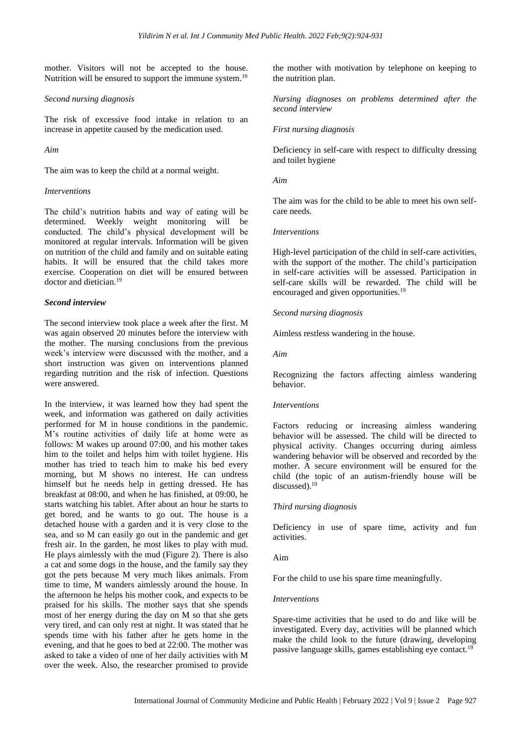mother. Visitors will not be accepted to the house. Nutrition will be ensured to support the immune system.<sup>19</sup>

## *Second nursing diagnosis*

The risk of excessive food intake in relation to an increase in appetite caused by the medication used.

*Aim*

The aim was to keep the child at a normal weight.

## *Interventions*

The child's nutrition habits and way of eating will be determined. Weekly weight monitoring will be conducted. The child's physical development will be monitored at regular intervals. Information will be given on nutrition of the child and family and on suitable eating habits. It will be ensured that the child takes more exercise. Cooperation on diet will be ensured between doctor and dietician.<sup>19</sup>

## *Second interview*

The second interview took place a week after the first. M was again observed 20 minutes before the interview with the mother. The nursing conclusions from the previous week's interview were discussed with the mother, and a short instruction was given on interventions planned regarding nutrition and the risk of infection. Questions were answered.

In the interview, it was learned how they had spent the week, and information was gathered on daily activities performed for M in house conditions in the pandemic. M's routine activities of daily life at home were as follows: M wakes up around 07:00, and his mother takes him to the toilet and helps him with toilet hygiene. His mother has tried to teach him to make his bed every morning, but M shows no interest. He can undress himself but he needs help in getting dressed. He has breakfast at 08:00, and when he has finished, at 09:00, he starts watching his tablet. After about an hour he starts to get bored, and he wants to go out. The house is a detached house with a garden and it is very close to the sea, and so M can easily go out in the pandemic and get fresh air. In the garden, he most likes to play with mud. He plays aimlessly with the mud (Figure 2). There is also a cat and some dogs in the house, and the family say they got the pets because M very much likes animals. From time to time, M wanders aimlessly around the house. In the afternoon he helps his mother cook, and expects to be praised for his skills. The mother says that she spends most of her energy during the day on M so that she gets very tired, and can only rest at night. It was stated that he spends time with his father after he gets home in the evening, and that he goes to bed at 22:00. The mother was asked to take a video of one of her daily activities with M over the week. Also, the researcher promised to provide

the mother with motivation by telephone on keeping to the nutrition plan.

*Nursing diagnoses on problems determined after the second interview*

## *First nursing diagnosis*

Deficiency in self-care with respect to difficulty dressing and toilet hygiene

## *Aim*

The aim was for the child to be able to meet his own selfcare needs.

## *Interventions*

High-level participation of the child in self-care activities, with the support of the mother. The child's participation in self-care activities will be assessed. Participation in self-care skills will be rewarded. The child will be encouraged and given opportunities.<sup>19</sup>

## *Second nursing diagnosis*

Aimless restless wandering in the house.

*Aim*

Recognizing the factors affecting aimless wandering behavior.

## *Interventions*

Factors reducing or increasing aimless wandering behavior will be assessed. The child will be directed to physical activity. Changes occurring during aimless wandering behavior will be observed and recorded by the mother. A secure environment will be ensured for the child (the topic of an autism-friendly house will be discussed).<sup>19</sup>

## *Third nursing diagnosis*

Deficiency in use of spare time, activity and fun activities.

## Aim

For the child to use his spare time meaningfully.

## *Interventions*

Spare-time activities that he used to do and like will be investigated. Every day, activities will be planned which make the child look to the future (drawing, developing passive language skills, games establishing eye contact.19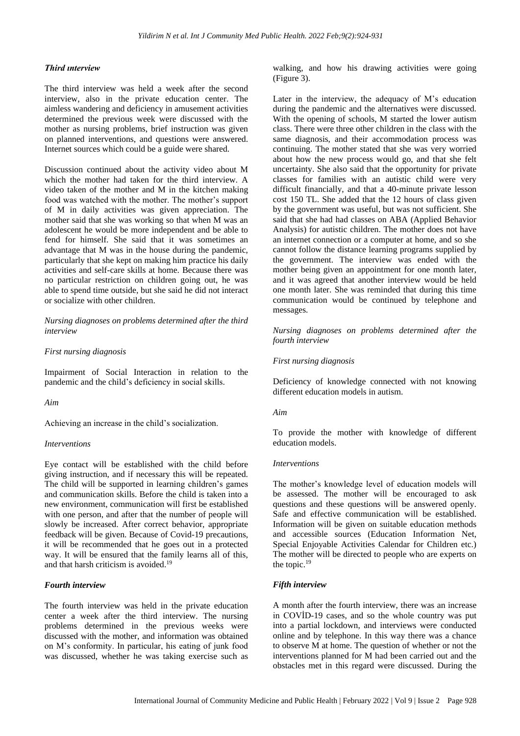## *Third ınterview*

The third interview was held a week after the second interview, also in the private education center. The aimless wandering and deficiency in amusement activities determined the previous week were discussed with the mother as nursing problems, brief instruction was given on planned interventions, and questions were answered. Internet sources which could be a guide were shared.

Discussion continued about the activity video about M which the mother had taken for the third interview. A video taken of the mother and M in the kitchen making food was watched with the mother. The mother's support of M in daily activities was given appreciation. The mother said that she was working so that when M was an adolescent he would be more independent and be able to fend for himself. She said that it was sometimes an advantage that M was in the house during the pandemic, particularly that she kept on making him practice his daily activities and self-care skills at home. Because there was no particular restriction on children going out, he was able to spend time outside, but she said he did not interact or socialize with other children.

*Nursing diagnoses on problems determined after the third interview*

#### *First nursing diagnosis*

Impairment of Social Interaction in relation to the pandemic and the child's deficiency in social skills.

#### *Aim*

Achieving an increase in the child's socialization.

## *Interventions*

Eye contact will be established with the child before giving instruction, and if necessary this will be repeated. The child will be supported in learning children's games and communication skills. Before the child is taken into a new environment, communication will first be established with one person, and after that the number of people will slowly be increased. After correct behavior, appropriate feedback will be given. Because of Covid-19 precautions, it will be recommended that he goes out in a protected way. It will be ensured that the family learns all of this, and that harsh criticism is avoided. 19

## *Fourth interview*

The fourth interview was held in the private education center a week after the third interview. The nursing problems determined in the previous weeks were discussed with the mother, and information was obtained on M's conformity. In particular, his eating of junk food was discussed, whether he was taking exercise such as walking, and how his drawing activities were going (Figure 3).

Later in the interview, the adequacy of M's education during the pandemic and the alternatives were discussed. With the opening of schools, M started the lower autism class. There were three other children in the class with the same diagnosis, and their accommodation process was continuing. The mother stated that she was very worried about how the new process would go, and that she felt uncertainty. She also said that the opportunity for private classes for families with an autistic child were very difficult financially, and that a 40-minute private lesson cost 150 TL. She added that the 12 hours of class given by the government was useful, but was not sufficient. She said that she had had classes on ABA (Applied Behavior Analysis) for autistic children. The mother does not have an internet connection or a computer at home, and so she cannot follow the distance learning programs supplied by the government. The interview was ended with the mother being given an appointment for one month later, and it was agreed that another interview would be held one month later. She was reminded that during this time communication would be continued by telephone and messages.

*Nursing diagnoses on problems determined after the fourth interview*

## *First nursing diagnosis*

Deficiency of knowledge connected with not knowing different education models in autism.

#### *Aim*

To provide the mother with knowledge of different education models.

#### *Interventions*

The mother's knowledge level of education models will be assessed. The mother will be encouraged to ask questions and these questions will be answered openly. Safe and effective communication will be established. Information will be given on suitable education methods and accessible sources (Education Information Net, Special Enjoyable Activities Calendar for Children etc.) The mother will be directed to people who are experts on the topic.<sup>19</sup>

## *Fifth interview*

A month after the fourth interview, there was an increase in COVİD-19 cases, and so the whole country was put into a partial lockdown, and interviews were conducted online and by telephone. In this way there was a chance to observe M at home. The question of whether or not the interventions planned for M had been carried out and the obstacles met in this regard were discussed. During the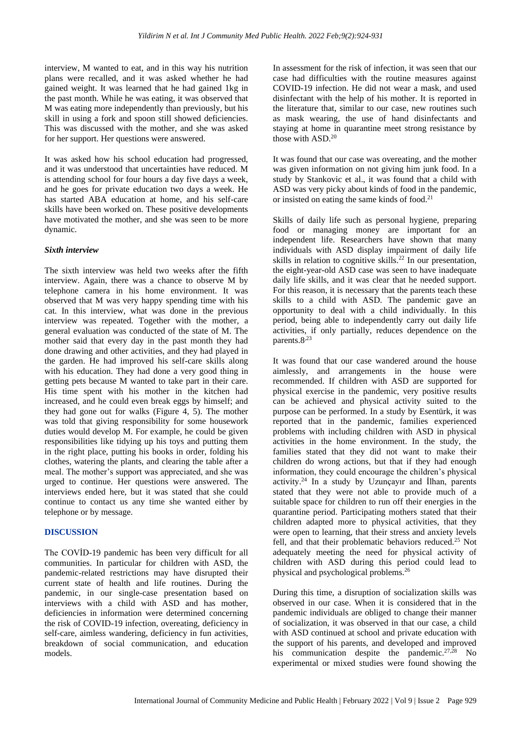interview, M wanted to eat, and in this way his nutrition plans were recalled, and it was asked whether he had gained weight. It was learned that he had gained 1kg in the past month. While he was eating, it was observed that M was eating more independently than previously, but his skill in using a fork and spoon still showed deficiencies. This was discussed with the mother, and she was asked for her support. Her questions were answered.

It was asked how his school education had progressed, and it was understood that uncertainties have reduced. M is attending school for four hours a day five days a week, and he goes for private education two days a week. He has started ABA education at home, and his self-care skills have been worked on. These positive developments have motivated the mother, and she was seen to be more dynamic.

## *Sixth interview*

The sixth interview was held two weeks after the fifth interview. Again, there was a chance to observe M by telephone camera in his home environment. It was observed that M was very happy spending time with his cat. In this interview, what was done in the previous interview was repeated. Together with the mother, a general evaluation was conducted of the state of M. The mother said that every day in the past month they had done drawing and other activities, and they had played in the garden. He had improved his self-care skills along with his education. They had done a very good thing in getting pets because M wanted to take part in their care. His time spent with his mother in the kitchen had increased, and he could even break eggs by himself; and they had gone out for walks (Figure 4, 5). The mother was told that giving responsibility for some housework duties would develop M. For example, he could be given responsibilities like tidying up his toys and putting them in the right place, putting his books in order, folding his clothes, watering the plants, and clearing the table after a meal. The mother's support was appreciated, and she was urged to continue. Her questions were answered. The interviews ended here, but it was stated that she could continue to contact us any time she wanted either by telephone or by message.

## **DISCUSSION**

The COVİD-19 pandemic has been very difficult for all communities. In particular for children with ASD, the pandemic-related restrictions may have disrupted their current state of health and life routines. During the pandemic, in our single-case presentation based on interviews with a child with ASD and has mother, deficiencies in information were determined concerning the risk of COVID-19 infection, overeating, deficiency in self-care, aimless wandering, deficiency in fun activities, breakdown of social communication, and education models.

In assessment for the risk of infection, it was seen that our case had difficulties with the routine measures against COVID-19 infection. He did not wear a mask, and used disinfectant with the help of his mother. It is reported in the literature that, similar to our case, new routines such as mask wearing, the use of hand disinfectants and staying at home in quarantine meet strong resistance by those with ASD.<sup>20</sup>

It was found that our case was overeating, and the mother was given information on not giving him junk food. In a study by Stankovic et al., it was found that a child with ASD was very picky about kinds of food in the pandemic, or insisted on eating the same kinds of food.<sup>21</sup>

Skills of daily life such as personal hygiene, preparing food or managing money are important for an independent life. Researchers have shown that many individuals with ASD display impairment of daily life skills in relation to cognitive skills.<sup>22</sup> In our presentation, the eight-year-old ASD case was seen to have inadequate daily life skills, and it was clear that he needed support. For this reason, it is necessary that the parents teach these skills to a child with ASD. The pandemic gave an opportunity to deal with a child individually. In this period, being able to independently carry out daily life activities, if only partially, reduces dependence on the parents.8<sup>23</sup>

It was found that our case wandered around the house aimlessly, and arrangements in the house were recommended. If children with ASD are supported for physical exercise in the pandemic, very positive results can be achieved and physical activity suited to the purpose can be performed. In a study by Esentürk, it was reported that in the pandemic, families experienced problems with including children with ASD in physical activities in the home environment. In the study, the families stated that they did not want to make their children do wrong actions, but that if they had enough information, they could encourage the children's physical activity.<sup>24</sup> In a study by Uzunçayır and İlhan, parents stated that they were not able to provide much of a suitable space for children to run off their energies in the quarantine period. Participating mothers stated that their children adapted more to physical activities, that they were open to learning, that their stress and anxiety levels fell, and that their problematic behaviors reduced.<sup>25</sup> Not adequately meeting the need for physical activity of children with ASD during this period could lead to physical and psychological problems.<sup>26</sup>

During this time, a disruption of socialization skills was observed in our case. When it is considered that in the pandemic individuals are obliged to change their manner of socialization, it was observed in that our case, a child with ASD continued at school and private education with the support of his parents, and developed and improved his communication despite the pandemic.<sup>27,28</sup> No experimental or mixed studies were found showing the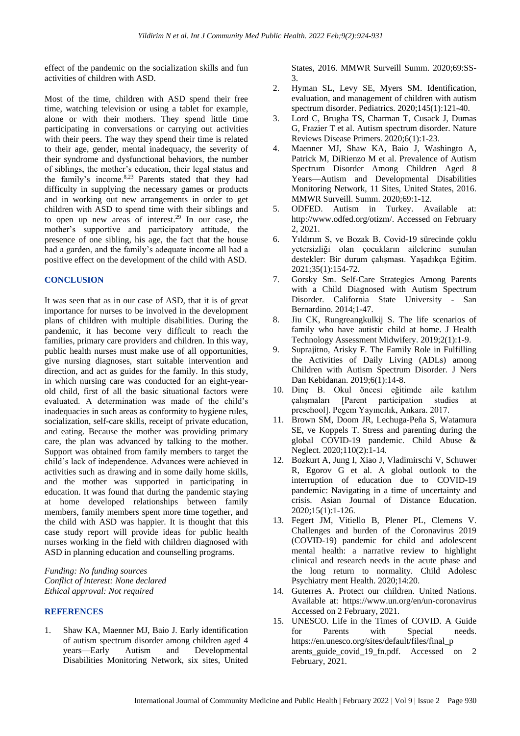effect of the pandemic on the socialization skills and fun activities of children with ASD.

Most of the time, children with ASD spend their free time, watching television or using a tablet for example, alone or with their mothers. They spend little time participating in conversations or carrying out activities with their peers. The way they spend their time is related to their age, gender, mental inadequacy, the severity of their syndrome and dysfunctional behaviors, the number of siblings, the mother's education, their legal status and the family's income.8,23 Parents stated that they had difficulty in supplying the necessary games or products and in working out new arrangements in order to get children with ASD to spend time with their siblings and to open up new areas of interest.<sup>29</sup> In our case, the mother's supportive and participatory attitude, the presence of one sibling, his age, the fact that the house had a garden, and the family's adequate income all had a positive effect on the development of the child with ASD.

## **CONCLUSION**

It was seen that as in our case of ASD, that it is of great importance for nurses to be involved in the development plans of children with multiple disabilities. During the pandemic, it has become very difficult to reach the families, primary care providers and children. In this way, public health nurses must make use of all opportunities, give nursing diagnoses, start suitable intervention and direction, and act as guides for the family. In this study, in which nursing care was conducted for an eight-yearold child, first of all the basic situational factors were evaluated. A determination was made of the child's inadequacies in such areas as conformity to hygiene rules, socialization, self-care skills, receipt of private education, and eating. Because the mother was providing primary care, the plan was advanced by talking to the mother. Support was obtained from family members to target the child's lack of independence. Advances were achieved in activities such as drawing and in some daily home skills, and the mother was supported in participating in education. It was found that during the pandemic staying at home developed relationships between family members, family members spent more time together, and the child with ASD was happier. It is thought that this case study report will provide ideas for public health nurses working in the field with children diagnosed with ASD in planning education and counselling programs.

*Funding: No funding sources Conflict of interest: None declared Ethical approval: Not required*

## **REFERENCES**

1. Shaw KA, Maenner MJ, Baio J. Early identification of autism spectrum disorder among children aged 4 years—Early Autism and Developmental Disabilities Monitoring Network, six sites, United States, 2016. MMWR Surveill Summ. 2020;69:SS-3.

- 2. Hyman SL, Levy SE, Myers SM. Identification, evaluation, and management of children with autism spectrum disorder. Pediatrics. 2020;145(1):121-40.
- 3. Lord C, Brugha TS, Charman T, Cusack J, Dumas G, Frazier T et al. Autism spectrum disorder. Nature Reviews Disease Primers. 2020;6(1):1-23.
- 4. Maenner MJ, Shaw KA, Baio J, Washingto A, Patrick M, DiRienzo M et al. Prevalence of Autism Spectrum Disorder Among Children Aged 8 Years—Autism and Developmental Disabilities Monitoring Network, 11 Sites, United States, 2016. MMWR Surveill. Summ. 2020;69:1-12.
- 5. ODFED. Autism in Turkey. Available at: http://www.odfed.org/otizm/. Accessed on February 2, 2021.
- 6. Yıldırım S, ve Bozak B. Covid-19 sürecinde çoklu yetersizliği olan çocukların ailelerine sunulan destekler: Bir durum çalışması. Yaşadıkça Eğitim. 2021;35(1):154-72.
- 7. Gorsky Sm. Self-Care Strategies Among Parents with a Child Diagnosed with Autism Spectrum Disorder. California State University - San Bernardino. 2014;1-47.
- 8. Jiu CK, Rungreangkulkij S. The life scenarios of family who have autistic child at home. J Health Technology Assessment Midwifery. 2019;2(1):1-9.
- 9. Suprajitno, Arisky F. The Family Role in Fulfilling the Activities of Daily Living (ADLs) among Children with Autism Spectrum Disorder. J Ners Dan Kebidanan. 2019;6(1):14-8.
- 10. Dinç B. Okul öncesi eğitimde aile katılım çalışmaları [Parent participation studies at preschool]. Pegem Yayıncılık, Ankara. 2017.
- 11. Brown SM, Doom JR, Lechuga-Peña S, Watamura SE, ve Koppels T. Stress and parenting during the global COVID-19 pandemic. Child Abuse & Neglect. 2020;110(2):1-14.
- 12. Bozkurt A, Jung I, Xiao J, Vladimirschi V, Schuwer R, Egorov G et al. A global outlook to the interruption of education due to COVID-19 pandemic: Navigating in a time of uncertainty and crisis. Asian Journal of Distance Education. 2020;15(1):1-126.
- 13. Fegert JM, Vitiello B, Plener PL, Clemens V. Challenges and burden of the Coronavirus 2019 (COVID-19) pandemic for child and adolescent mental health: a narrative review to highlight clinical and research needs in the acute phase and the long return to normality. Child Adolesc Psychiatry ment Health. 2020;14:20.
- 14. Guterres A. Protect our children. United Nations. Available at: https://www.un.org/en/un-coronavirus Accessed on 2 February, 2021.
- 15. UNESCO. Life in the Times of COVID. A Guide for Parents with Special needs. https://en.unesco.org/sites/default/files/final\_p arents\_guide\_covid\_19\_fn.pdf. Accessed on 2 February, 2021.